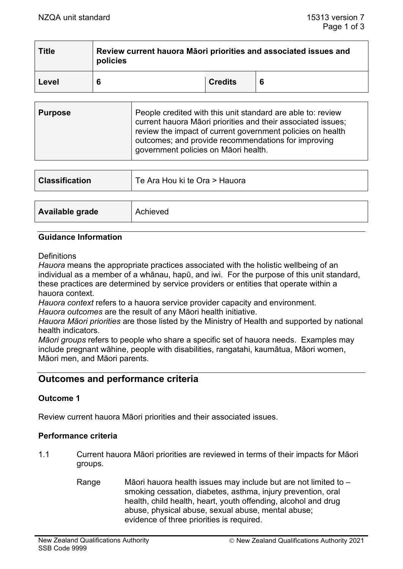| <b>Title</b> | Review current hauora Māori priorities and associated issues and<br>policies |                |  |  |
|--------------|------------------------------------------------------------------------------|----------------|--|--|
| Level        | 6                                                                            | <b>Credits</b> |  |  |

| <b>Purpose</b> | People credited with this unit standard are able to: review<br>current hauora Māori priorities and their associated issues;<br>review the impact of current government policies on health<br>outcomes; and provide recommendations for improving<br>government policies on Māori health. |
|----------------|------------------------------------------------------------------------------------------------------------------------------------------------------------------------------------------------------------------------------------------------------------------------------------------|
|----------------|------------------------------------------------------------------------------------------------------------------------------------------------------------------------------------------------------------------------------------------------------------------------------------------|

| <b>Classification</b> | Te Ara Hou ki te Ora > Hauora |
|-----------------------|-------------------------------|
|                       |                               |
| Available grade       | Achieved                      |

#### **Guidance Information**

#### **Definitions**

*Hauora* means the appropriate practices associated with the holistic wellbeing of an individual as a member of a whānau, hapū, and iwi. For the purpose of this unit standard, these practices are determined by service providers or entities that operate within a hauora context.

*Hauora context* refers to a hauora service provider capacity and environment. *Hauora outcomes* are the result of any Māori health initiative.

*Hauora Māori priorities* are those listed by the Ministry of Health and supported by national health indicators.

*Māori groups* refers to people who share a specific set of hauora needs. Examples may include pregnant wāhine, people with disabilities, rangatahi, kaumātua, Māori women, Māori men, and Māori parents.

# **Outcomes and performance criteria**

## **Outcome 1**

Review current hauora Māori priorities and their associated issues.

#### **Performance criteria**

- 1.1 Current hauora Māori priorities are reviewed in terms of their impacts for Māori groups.
	- Range Māori hauora health issues may include but are not limited to smoking cessation, diabetes, asthma, injury prevention, oral health, child health, heart, youth offending, alcohol and drug abuse, physical abuse, sexual abuse, mental abuse; evidence of three priorities is required.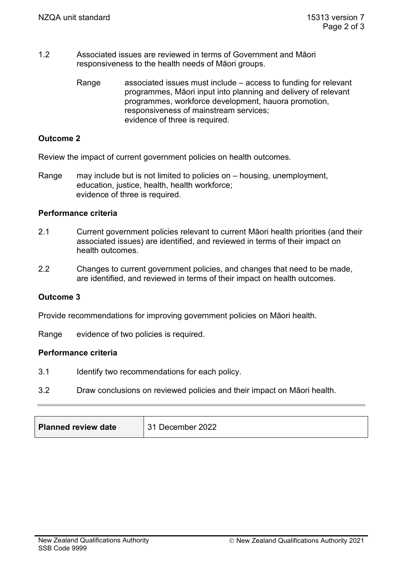- 1.2 Associated issues are reviewed in terms of Government and Māori responsiveness to the health needs of Māori groups.
	- Range associated issues must include access to funding for relevant programmes, Māori input into planning and delivery of relevant programmes, workforce development, hauora promotion, responsiveness of mainstream services; evidence of three is required.

## **Outcome 2**

Review the impact of current government policies on health outcomes.

Range may include but is not limited to policies on – housing, unemployment, education, justice, health, health workforce; evidence of three is required.

## **Performance criteria**

- 2.1 Current government policies relevant to current Māori health priorities (and their associated issues) are identified, and reviewed in terms of their impact on health outcomes.
- 2.2 Changes to current government policies, and changes that need to be made, are identified, and reviewed in terms of their impact on health outcomes.

## **Outcome 3**

Provide recommendations for improving government policies on Māori health.

Range evidence of two policies is required.

## **Performance criteria**

- 3.1 Identify two recommendations for each policy.
- 3.2 Draw conclusions on reviewed policies and their impact on Māori health.

| <b>Planned review date</b> | 31 December 2022 |
|----------------------------|------------------|
|----------------------------|------------------|